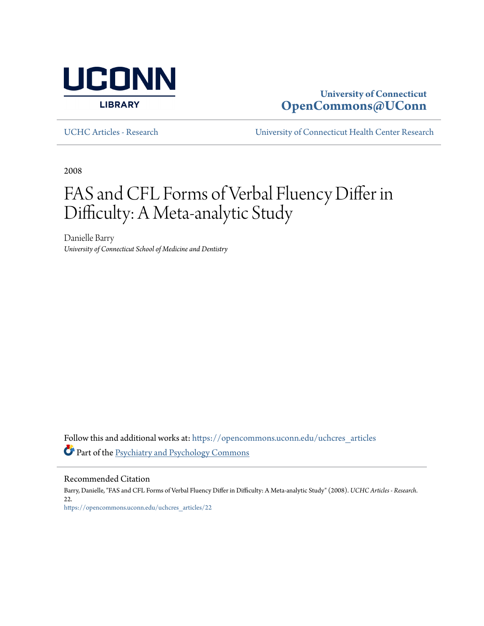

### **University of Connecticut [OpenCommons@UConn](https://opencommons.uconn.edu?utm_source=opencommons.uconn.edu%2Fuchcres_articles%2F22&utm_medium=PDF&utm_campaign=PDFCoverPages)**

[UCHC Articles - Research](https://opencommons.uconn.edu/uchcres_articles?utm_source=opencommons.uconn.edu%2Fuchcres_articles%2F22&utm_medium=PDF&utm_campaign=PDFCoverPages) [University of Connecticut Health Center Research](https://opencommons.uconn.edu/uchcres?utm_source=opencommons.uconn.edu%2Fuchcres_articles%2F22&utm_medium=PDF&utm_campaign=PDFCoverPages)

2008

# FAS and CFL Forms of Verbal Fluency Differ in Difficulty: A Meta-analytic Study

Danielle Barry *University of Connecticut School of Medicine and Dentistry*

Follow this and additional works at: [https://opencommons.uconn.edu/uchcres\\_articles](https://opencommons.uconn.edu/uchcres_articles?utm_source=opencommons.uconn.edu%2Fuchcres_articles%2F22&utm_medium=PDF&utm_campaign=PDFCoverPages) Part of the [Psychiatry and Psychology Commons](http://network.bepress.com/hgg/discipline/908?utm_source=opencommons.uconn.edu%2Fuchcres_articles%2F22&utm_medium=PDF&utm_campaign=PDFCoverPages)

Recommended Citation

Barry, Danielle, "FAS and CFL Forms of Verbal Fluency Differ in Difficulty: A Meta-analytic Study" (2008). *UCHC Articles - Research*. 22. [https://opencommons.uconn.edu/uchcres\\_articles/22](https://opencommons.uconn.edu/uchcres_articles/22?utm_source=opencommons.uconn.edu%2Fuchcres_articles%2F22&utm_medium=PDF&utm_campaign=PDFCoverPages)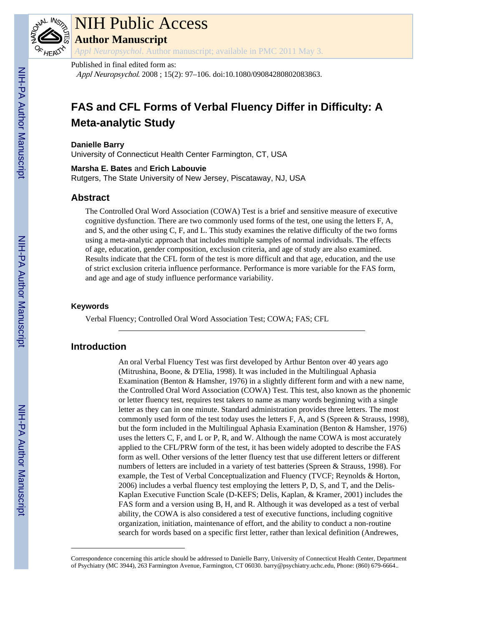

## NIH Public Access

**Author Manuscript**

*Appl Neuropsychol*. Author manuscript; available in PMC 2011 May 3.

#### Published in final edited form as:

Appl Neuropsychol. 2008 ; 15(2): 97-106. doi:10.1080/09084280802083863.

## **FAS and CFL Forms of Verbal Fluency Differ in Difficulty: A Meta-analytic Study**

**Danielle Barry**

University of Connecticut Health Center Farmington, CT, USA

**Marsha E. Bates** and **Erich Labouvie** Rutgers, The State University of New Jersey, Piscataway, NJ, USA

#### **Abstract**

The Controlled Oral Word Association (COWA) Test is a brief and sensitive measure of executive cognitive dysfunction. There are two commonly used forms of the test, one using the letters F, A, and S, and the other using C, F, and L. This study examines the relative difficulty of the two forms using a meta-analytic approach that includes multiple samples of normal individuals. The effects of age, education, gender composition, exclusion criteria, and age of study are also examined. Results indicate that the CFL form of the test is more difficult and that age, education, and the use of strict exclusion criteria influence performance. Performance is more variable for the FAS form, and age and age of study influence performance variability.

#### **Keywords**

Verbal Fluency; Controlled Oral Word Association Test; COWA; FAS; CFL

#### **Introduction**

An oral Verbal Fluency Test was first developed by Arthur Benton over 40 years ago (Mitrushina, Boone, & D'Elia, 1998). It was included in the Multilingual Aphasia Examination (Benton & Hamsher, 1976) in a slightly different form and with a new name, the Controlled Oral Word Association (COWA) Test. This test, also known as the phonemic or letter fluency test, requires test takers to name as many words beginning with a single letter as they can in one minute. Standard administration provides three letters. The most commonly used form of the test today uses the letters F, A, and S (Spreen & Strauss, 1998), but the form included in the Multilingual Aphasia Examination (Benton & Hamsher, 1976) uses the letters C, F, and L or P, R, and W. Although the name COWA is most accurately applied to the CFL/PRW form of the test, it has been widely adopted to describe the FAS form as well. Other versions of the letter fluency test that use different letters or different numbers of letters are included in a variety of test batteries (Spreen & Strauss, 1998). For example, the Test of Verbal Conceptualization and Fluency (TVCF; Reynolds & Horton, 2006) includes a verbal fluency test employing the letters P, D, S, and T, and the Delis-Kaplan Executive Function Scale (D-KEFS; Delis, Kaplan, & Kramer, 2001) includes the FAS form and a version using B, H, and R. Although it was developed as a test of verbal ability, the COWA is also considered a test of executive functions, including cognitive organization, initiation, maintenance of effort, and the ability to conduct a non-routine search for words based on a specific first letter, rather than lexical definition (Andrewes,

Correspondence concerning this article should be addressed to Danielle Barry, University of Connecticut Health Center, Department of Psychiatry (MC 3944), 263 Farmington Avenue, Farmington, CT 06030. barry@psychiatry.uchc.edu, Phone: (860) 679-6664..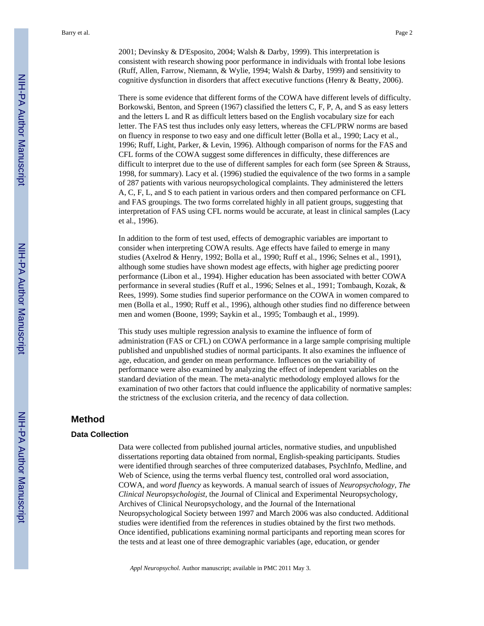2001; Devinsky & D'Esposito, 2004; Walsh & Darby, 1999). This interpretation is consistent with research showing poor performance in individuals with frontal lobe lesions (Ruff, Allen, Farrow, Niemann, & Wylie, 1994; Walsh & Darby, 1999) and sensitivity to cognitive dysfunction in disorders that affect executive functions (Henry & Beatty, 2006).

There is some evidence that different forms of the COWA have different levels of difficulty. Borkowski, Benton, and Spreen (1967) classified the letters C, F, P, A, and S as easy letters and the letters L and R as difficult letters based on the English vocabulary size for each letter. The FAS test thus includes only easy letters, whereas the CFL/PRW norms are based on fluency in response to two easy and one difficult letter (Bolla et al., 1990; Lacy et al., 1996; Ruff, Light, Parker, & Levin, 1996). Although comparison of norms for the FAS and CFL forms of the COWA suggest some differences in difficulty, these differences are difficult to interpret due to the use of different samples for each form (see Spreen & Strauss, 1998, for summary). Lacy et al. (1996) studied the equivalence of the two forms in a sample of 287 patients with various neuropsychological complaints. They administered the letters A, C, F, L, and S to each patient in various orders and then compared performance on CFL and FAS groupings. The two forms correlated highly in all patient groups, suggesting that interpretation of FAS using CFL norms would be accurate, at least in clinical samples (Lacy et al., 1996).

In addition to the form of test used, effects of demographic variables are important to consider when interpreting COWA results. Age effects have failed to emerge in many studies (Axelrod & Henry, 1992; Bolla et al., 1990; Ruff et al., 1996; Selnes et al., 1991), although some studies have shown modest age effects, with higher age predicting poorer performance (Libon et al., 1994). Higher education has been associated with better COWA performance in several studies (Ruff et al., 1996; Selnes et al., 1991; Tombaugh, Kozak, & Rees, 1999). Some studies find superior performance on the COWA in women compared to men (Bolla et al., 1990; Ruff et al., 1996), although other studies find no difference between men and women (Boone, 1999; Saykin et al., 1995; Tombaugh et al., 1999).

This study uses multiple regression analysis to examine the influence of form of administration (FAS or CFL) on COWA performance in a large sample comprising multiple published and unpublished studies of normal participants. It also examines the influence of age, education, and gender on mean performance. Influences on the variability of performance were also examined by analyzing the effect of independent variables on the standard deviation of the mean. The meta-analytic methodology employed allows for the examination of two other factors that could influence the applicability of normative samples: the strictness of the exclusion criteria, and the recency of data collection.

#### **Method**

#### **Data Collection**

Data were collected from published journal articles, normative studies, and unpublished dissertations reporting data obtained from normal, English-speaking participants. Studies were identified through searches of three computerized databases, PsychInfo, Medline, and Web of Science, using the terms verbal fluency test, controlled oral word association, COWA, and *word fluency* as keywords. A manual search of issues of *Neuropsychology, The Clinical Neuropsychologist,* the Journal of Clinical and Experimental Neuropsychology, Archives of Clinical Neuropsychology, and the Journal of the International Neuropsychological Society between 1997 and March 2006 was also conducted. Additional studies were identified from the references in studies obtained by the first two methods. Once identified, publications examining normal participants and reporting mean scores for the tests and at least one of three demographic variables (age, education, or gender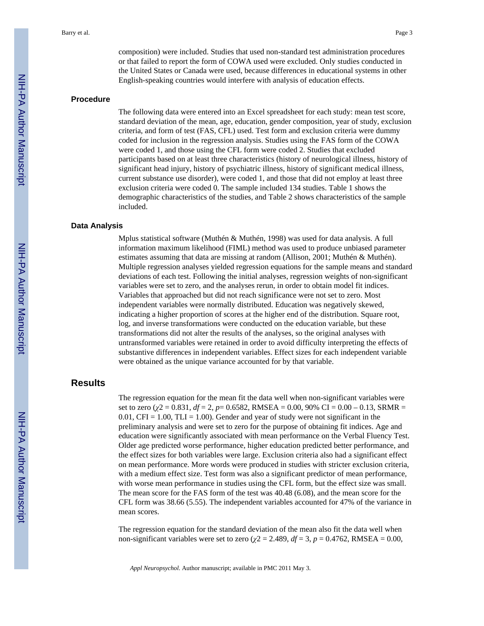composition) were included. Studies that used non-standard test administration procedures or that failed to report the form of COWA used were excluded. Only studies conducted in the United States or Canada were used, because differences in educational systems in other English-speaking countries would interfere with analysis of education effects.

#### **Procedure**

The following data were entered into an Excel spreadsheet for each study: mean test score, standard deviation of the mean, age, education, gender composition, year of study, exclusion criteria, and form of test (FAS, CFL) used. Test form and exclusion criteria were dummy coded for inclusion in the regression analysis. Studies using the FAS form of the COWA were coded 1, and those using the CFL form were coded 2. Studies that excluded participants based on at least three characteristics (history of neurological illness, history of significant head injury, history of psychiatric illness, history of significant medical illness, current substance use disorder), were coded 1, and those that did not employ at least three exclusion criteria were coded 0. The sample included 134 studies. Table 1 shows the demographic characteristics of the studies, and Table 2 shows characteristics of the sample included.

#### **Data Analysis**

Mplus statistical software (Muthén & Muthén, 1998) was used for data analysis. A full information maximum likelihood (FIML) method was used to produce unbiased parameter estimates assuming that data are missing at random (Allison, 2001; Muthén & Muthén). Multiple regression analyses yielded regression equations for the sample means and standard deviations of each test. Following the initial analyses, regression weights of non-significant variables were set to zero, and the analyses rerun, in order to obtain model fit indices. Variables that approached but did not reach significance were not set to zero. Most independent variables were normally distributed. Education was negatively skewed, indicating a higher proportion of scores at the higher end of the distribution. Square root, log, and inverse transformations were conducted on the education variable, but these transformations did not alter the results of the analyses, so the original analyses with untransformed variables were retained in order to avoid difficulty interpreting the effects of substantive differences in independent variables. Effect sizes for each independent variable were obtained as the unique variance accounted for by that variable.

#### **Results**

The regression equation for the mean fit the data well when non-significant variables were set to zero (*χ*2 = 0.831, *df* = 2, *p*= 0.6582, RMSEA = 0.00, 90% CI = 0.00 – 0.13, SRMR = 0.01, CFI = 1.00, TLI = 1.00). Gender and year of study were not significant in the preliminary analysis and were set to zero for the purpose of obtaining fit indices. Age and education were significantly associated with mean performance on the Verbal Fluency Test. Older age predicted worse performance, higher education predicted better performance, and the effect sizes for both variables were large. Exclusion criteria also had a significant effect on mean performance. More words were produced in studies with stricter exclusion criteria, with a medium effect size. Test form was also a significant predictor of mean performance, with worse mean performance in studies using the CFL form, but the effect size was small. The mean score for the FAS form of the test was 40.48 (6.08), and the mean score for the CFL form was 38.66 (5.55). The independent variables accounted for 47% of the variance in mean scores.

The regression equation for the standard deviation of the mean also fit the data well when non-significant variables were set to zero ( $\chi$ 2 = 2.489,  $df$  = 3,  $p$  = 0.4762, RMSEA = 0.00,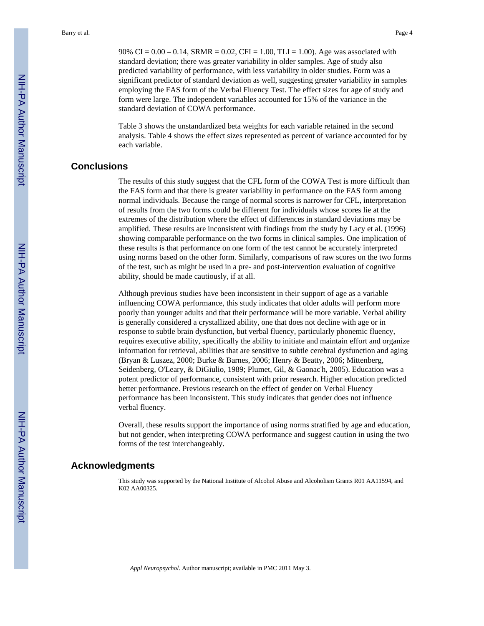90% CI =  $0.00 - 0.14$ , SRMR =  $0.02$ , CFI = 1.00, TLI = 1.00). Age was associated with standard deviation; there was greater variability in older samples. Age of study also predicted variability of performance, with less variability in older studies. Form was a significant predictor of standard deviation as well, suggesting greater variability in samples employing the FAS form of the Verbal Fluency Test. The effect sizes for age of study and form were large. The independent variables accounted for 15% of the variance in the standard deviation of COWA performance.

Table 3 shows the unstandardized beta weights for each variable retained in the second analysis. Table 4 shows the effect sizes represented as percent of variance accounted for by each variable.

#### **Conclusions**

The results of this study suggest that the CFL form of the COWA Test is more difficult than the FAS form and that there is greater variability in performance on the FAS form among normal individuals. Because the range of normal scores is narrower for CFL, interpretation of results from the two forms could be different for individuals whose scores lie at the extremes of the distribution where the effect of differences in standard deviations may be amplified. These results are inconsistent with findings from the study by Lacy et al. (1996) showing comparable performance on the two forms in clinical samples. One implication of these results is that performance on one form of the test cannot be accurately interpreted using norms based on the other form. Similarly, comparisons of raw scores on the two forms of the test, such as might be used in a pre- and post-intervention evaluation of cognitive ability, should be made cautiously, if at all.

Although previous studies have been inconsistent in their support of age as a variable influencing COWA performance, this study indicates that older adults will perform more poorly than younger adults and that their performance will be more variable. Verbal ability is generally considered a crystallized ability, one that does not decline with age or in response to subtle brain dysfunction, but verbal fluency, particularly phonemic fluency, requires executive ability, specifically the ability to initiate and maintain effort and organize information for retrieval, abilities that are sensitive to subtle cerebral dysfunction and aging (Bryan & Luszez, 2000; Burke & Barnes, 2006; Henry & Beatty, 2006; Mittenberg, Seidenberg, O'Leary, & DiGiulio, 1989; Plumet, Gil, & Gaonac'h, 2005). Education was a potent predictor of performance, consistent with prior research. Higher education predicted better performance. Previous research on the effect of gender on Verbal Fluency performance has been inconsistent. This study indicates that gender does not influence verbal fluency.

Overall, these results support the importance of using norms stratified by age and education, but not gender, when interpreting COWA performance and suggest caution in using the two forms of the test interchangeably.

#### **Acknowledgments**

This study was supported by the National Institute of Alcohol Abuse and Alcoholism Grants R01 AA11594, and K02 AA00325.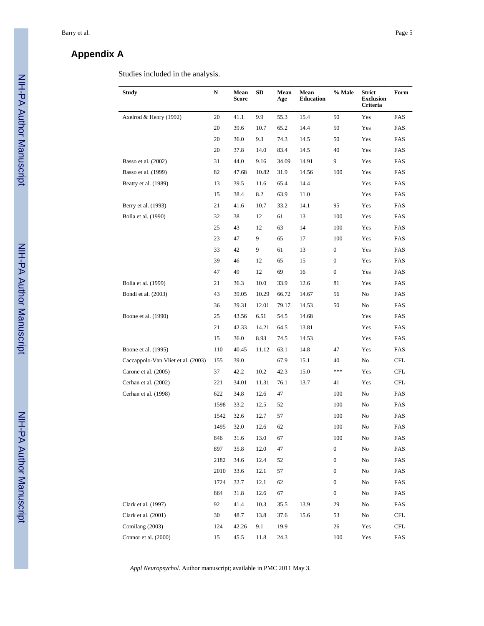## **Appendix A**

Studies included in the analysis.

| Study                              | N    | Mean<br>Score | SD    | Mean<br>Age | Mean<br><b>Education</b> | % Male           | <b>Strict</b><br><b>Exclusion</b><br>Criteria | Form                 |
|------------------------------------|------|---------------|-------|-------------|--------------------------|------------------|-----------------------------------------------|----------------------|
| Axelrod & Henry (1992)             | 20   | 41.1          | 9.9   | 55.3        | 15.4                     | 50               | Yes                                           | FAS                  |
|                                    | 20   | 39.6          | 10.7  | 65.2        | 14.4                     | 50               | Yes                                           | FAS                  |
|                                    | 20   | 36.0          | 9.3   | 74.3        | 14.5                     | 50               | Yes                                           | FAS                  |
|                                    | 20   | 37.8          | 14.0  | 83.4        | 14.5                     | 40               | Yes                                           | FAS                  |
| Basso et al. (2002)                | 31   | 44.0          | 9.16  | 34.09       | 14.91                    | 9                | Yes                                           | FAS                  |
| Basso et al. (1999)                | 82   | 47.68         | 10.82 | 31.9        | 14.56                    | 100              | Yes                                           | FAS                  |
| Beatty et al. (1989)               | 13   | 39.5          | 11.6  | 65.4        | 14.4                     |                  | Yes                                           | FAS                  |
|                                    | 15   | 38.4          | 8.2   | 63.9        | 11.0                     |                  | Yes                                           | FAS                  |
| Berry et al. (1993)                | 21   | 41.6          | 10.7  | 33.2        | 14.1                     | 95               | Yes                                           | FAS                  |
| Bolla et al. (1990)                | 32   | 38            | 12    | 61          | 13                       | 100              | Yes                                           | FAS                  |
|                                    | 25   | 43            | 12    | 63          | 14                       | 100              | Yes                                           | FAS                  |
|                                    | 23   | 47            | 9     | 65          | 17                       | 100              | Yes                                           | FAS                  |
|                                    | 33   | 42            | 9     | 61          | 13                       | $\boldsymbol{0}$ | Yes                                           | FAS                  |
|                                    | 39   | 46            | 12    | 65          | 15                       | 0                | Yes                                           | FAS                  |
|                                    | 47   | 49            | 12    | 69          | 16                       | $\boldsymbol{0}$ | Yes                                           | FAS                  |
| Bolla et al. (1999)                | 21   | 36.3          | 10.0  | 33.9        | 12.6                     | 81               | Yes                                           | FAS                  |
| Bondi et al. (2003)                | 43   | 39.05         | 10.29 | 66.72       | 14.67                    | 56               | No                                            | FAS                  |
|                                    | 36   | 39.31         | 12.01 | 79.17       | 14.53                    | 50               | No                                            | FAS                  |
| Boone et al. (1990)                | 25   | 43.56         | 6.51  | 54.5        | 14.68                    |                  | Yes                                           | FAS                  |
|                                    | 21   | 42.33         | 14.21 | 64.5        | 13.81                    |                  | Yes                                           | FAS                  |
|                                    | 15   | 36.0          | 8.93  | 74.5        | 14.53                    |                  | Yes                                           | FAS                  |
| Boone et al. (1995)                | 110  | 40.45         | 11.12 | 63.1        | 14.8                     | 47               | Yes                                           | FAS                  |
| Caccappolo-Van Vliet et al. (2003) | 155  | 39.0          |       | 67.9        | 15.1                     | 40               | No                                            | $\operatorname{CFL}$ |
| Carone et al. (2005)               | 37   | 42.2          | 10.2  | 42.3        | 15.0                     | ***              | Yes                                           | $\operatorname{CFL}$ |
| Cerhan et al. (2002)               | 221  | 34.01         | 11.31 | 76.1        | 13.7                     | 41               | Yes                                           | <b>CFL</b>           |
| Cerhan et al. (1998)               | 622  | 34.8          | 12.6  | 47          |                          | 100              | No                                            | FAS                  |
|                                    | 1598 | 33.2          | 12.5  | 52          |                          | 100              | No                                            | FAS                  |
|                                    | 1542 | 32.6          | 12.7  | 57          |                          | 100              | No                                            | FAS                  |
|                                    | 1495 | 32.0          | 12.6  | 62          |                          | 100              | No                                            | FAS                  |
|                                    | 846  | 31.6          | 13.0  | 67          |                          | 100              | No                                            | FAS                  |
|                                    | 897  | 35.8          | 12.0  | 47          |                          | 0                | No                                            | FAS                  |
|                                    | 2182 | 34.6          | 12.4  | 52          |                          | $\boldsymbol{0}$ | $\rm No$                                      | FAS                  |
|                                    | 2010 | 33.6          | 12.1  | 57          |                          | $\boldsymbol{0}$ | No                                            | FAS                  |
|                                    | 1724 | 32.7          | 12.1  | 62          |                          | 0                | No                                            | FAS                  |
|                                    | 864  | 31.8          | 12.6  | 67          |                          | 0                | No                                            | FAS                  |
| Clark et al. (1997)                | 92   | 41.4          | 10.3  | 35.5        | 13.9                     | 29               | No                                            | FAS                  |
| Clark et al. (2001)                | 30   | 48.7          | 13.8  | 37.6        | 15.6                     | 53               | No                                            | $\operatorname{CFL}$ |
| Comilang (2003)                    | 124  | 42.26         | 9.1   | 19.9        |                          | 26               | Yes                                           | $\operatorname{CFL}$ |
| Connor et al. (2000)               | 15   | 45.5          | 11.8  | 24.3        |                          | 100              | Yes                                           | FAS                  |
|                                    |      |               |       |             |                          |                  |                                               |                      |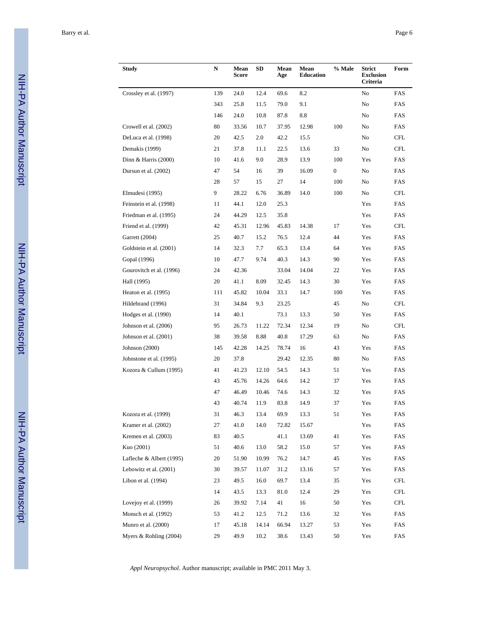| Study                    | N   | Mean<br>Score | SD    | Mean<br>Age | Mean<br><b>Education</b> | % Male           | <b>Strict</b><br><b>Exclusion</b><br>Criteria | Form                 |
|--------------------------|-----|---------------|-------|-------------|--------------------------|------------------|-----------------------------------------------|----------------------|
| Crossley et al. (1997)   | 139 | 24.0          | 12.4  | 69.6        | 8.2                      |                  | No                                            | FAS                  |
|                          | 343 | 25.8          | 11.5  | 79.0        | 9.1                      |                  | No                                            | FAS                  |
|                          | 146 | 24.0          | 10.8  | 87.8        | 8.8                      |                  | No                                            | FAS                  |
| Crowell et al. (2002)    | 80  | 33.56         | 10.7  | 37.95       | 12.98                    | 100              | No                                            | FAS                  |
| DeLuca et al. (1998)     | 20  | 42.5          | 2.0   | 42.2        | 15.5                     |                  | No                                            | CFL                  |
| Demakis (1999)           | 21  | 37.8          | 11.1  | 22.5        | 13.6                     | 33               | No                                            | CFL                  |
| Dinn & Harris $(2000)$   | 10  | 41.6          | 9.0   | 28.9        | 13.9                     | 100              | Yes                                           | FAS                  |
| Dursun et al. (2002)     | 47  | 54            | 16    | 39          | 16.09                    | $\boldsymbol{0}$ | No                                            | FAS                  |
|                          | 28  | 57            | 15    | 27          | 14                       | 100              | No                                            | FAS                  |
| Elmudesi (1995)          | 9   | 28.22         | 6.76  | 36.89       | 14.0                     | 100              | No                                            | CFL                  |
| Feinstein et al. (1998)  | 11  | 44.1          | 12.0  | 25.3        |                          |                  | Yes                                           | FAS                  |
| Friedman et al. (1995)   | 24  | 44.29         | 12.5  | 35.8        |                          |                  | Yes                                           | FAS                  |
| Friend et al. (1999)     | 42  | 45.31         | 12.96 | 45.83       | 14.38                    | 17               | Yes                                           | <b>CFL</b>           |
| Garrett (2004)           | 25  | 40.7          | 15.2  | 76.5        | 12.4                     | 44               | Yes                                           | FAS                  |
| Goldstein et al. (2001)  | 14  | 32.3          | 7.7   | 65.3        | 13.4                     | 64               | Yes                                           | FAS                  |
| Gopal (1996)             | 10  | 47.7          | 9.74  | 40.3        | 14.3                     | 90               | Yes                                           | FAS                  |
| Gourovitch et al. (1996) | 24  | 42.36         |       | 33.04       | 14.04                    | 22               | Yes                                           | FAS                  |
| Hall (1995)              | 20  | 41.1          | 8.09  | 32.45       | 14.3                     | 30               | Yes                                           | FAS                  |
| Heaton et al. (1995)     | 111 | 45.82         | 10.04 | 33.1        | 14.7                     | 100              | Yes                                           | FAS                  |
| Hildebrand (1996)        | 31  | 34.84         | 9.3   | 23.25       |                          | 45               | No                                            | <b>CFL</b>           |
| Hodges et al. (1990)     | 14  | 40.1          |       | 73.1        | 13.3                     | 50               | Yes                                           | FAS                  |
| Johnson et al. (2006)    | 95  | 26.73         | 11.22 | 72.34       | 12.34                    | 19               | No                                            | CFL                  |
| Johnson et al. (2001)    | 38  | 39.58         | 8.88  | 40.8        | 17.29                    | 63               | No                                            | FAS                  |
| Johnson (2000)           | 145 | 42.28         | 14.25 | 78.74       | 16                       | 43               | Yes                                           | FAS                  |
| Johnstone et al. (1995)  | 20  | 37.8          |       | 29.42       | 12.35                    | 80               | No                                            | FAS                  |
| Kozora & Cullum (1995)   | 41  | 41.23         | 12.10 | 54.5        | 14.3                     | 51               | Yes                                           | FAS                  |
|                          | 43  | 45.76         | 14.26 | 64.6        | 14.2                     | 37               | Yes                                           | FAS                  |
|                          | 47  | 46.49         | 10.46 | 74.6        | 14.3                     | 32               | Yes                                           | FAS                  |
|                          | 43  | 40.74         | 11.9  | 83.8        | 14.9                     | 37               | Yes                                           | FAS                  |
| Kozora et al. (1999)     | 31  | 46.3          | 13.4  | 69.9        | 13.3                     | 51               | Yes                                           | FAS                  |
| Kramer et al. (2002)     | 27  | 41.0          | 14.0  | 72.82       | 15.67                    |                  | Yes                                           | FAS                  |
| Kremen et al. (2003)     | 83  | 40.5          |       | 41.1        | 13.69                    | 41               | Yes                                           | FAS                  |
| Kuo (2001)               | 51  | 40.6          | 13.0  | 58.2        | 15.0                     | 57               | Yes                                           | FAS                  |
| Lafleche & Albert (1995) | 20  | 51.90         | 10.99 | 76.2        | 14.7                     | 45               | Yes                                           | FAS                  |
| Lebowitz et al. (2001)   | 30  | 39.57         | 11.07 | 31.2        | 13.16                    | 57               | Yes                                           | FAS                  |
| Libon et al. (1994)      | 23  | 49.5          | 16.0  | 69.7        | 13.4                     | 35               | Yes                                           | $\operatorname{CFL}$ |
|                          | 14  | 43.5          | 13.3  | 81.0        | 12.4                     | 29               | Yes                                           | $\operatorname{CFL}$ |
| Lovejoy et al. (1999)    | 26  | 39.92         | 7.14  | 41          | 16                       | 50               | Yes                                           | CFL                  |
| Monsch et al. (1992)     | 53  | 41.2          | 12.5  | 71.2        | 13.6                     | 32               | Yes                                           | FAS                  |
| Munro et al. (2000)      | 17  | 45.18         | 14.14 | 66.94       | 13.27                    | 53               | Yes                                           | FAS                  |
| Myers & Rohling (2004)   | 29  | 49.9          | 10.2  | 38.6        | 13.43                    | 50               | Yes                                           | FAS                  |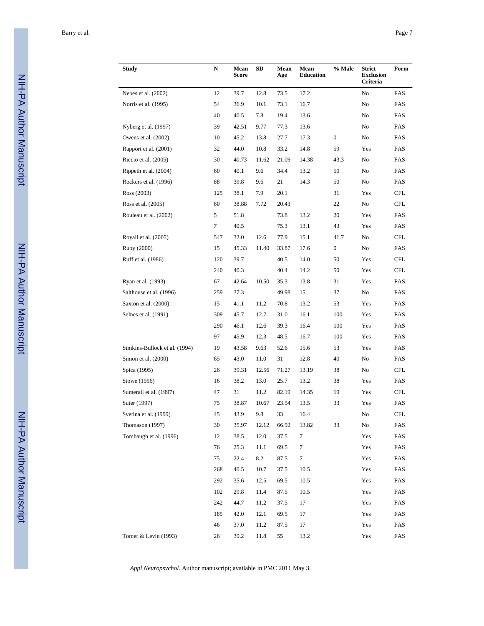| Study                         | N   | Mean<br>Score | SD    | Mean<br>Age | Mean<br><b>Education</b> | % Male           | <b>Strict</b><br><b>Exclusion</b><br>Criteria | Form       |
|-------------------------------|-----|---------------|-------|-------------|--------------------------|------------------|-----------------------------------------------|------------|
| Nebes et al. (2002)           | 12  | 39.7          | 12.8  | 73.5        | 17.2                     |                  | No                                            | FAS        |
| Norris et al. (1995)          | 54  | 36.9          | 10.1  | 73.1        | 16.7                     |                  | No                                            | FAS        |
|                               | 40  | 40.5          | 7.8   | 19.4        | 13.6                     |                  | No                                            | FAS        |
| Nyberg et al. (1997)          | 39  | 42.51         | 9.77  | 77.3        | 13.6                     |                  | No                                            | FAS        |
| Owens et al. (2002)           | 10  | 45.2          | 13.8  | 27.7        | 17.3                     | $\boldsymbol{0}$ | No                                            | FAS        |
| Rapport et al. (2001)         | 32  | 44.0          | 10.8  | 33.2        | 14.8                     | 59               | Yes                                           | FAS        |
| Riccio et al. (2005)          | 30  | 40.73         | 11.62 | 21.09       | 14.38                    | 43.3             | No                                            | FAS        |
| Rippeth et al. (2004)         | 60  | 40.1          | 9.6   | 34.4        | 13.2                     | 50               | No                                            | FAS        |
| Rockers et al. (1996)         | 88  | 39.8          | 9.6   | 21          | 14.3                     | 50               | No                                            | FAS        |
| Ross (2003)                   | 125 | 38.1          | 7.9   | 20.1        |                          | 31               | Yes                                           | <b>CFL</b> |
| Ross et al. (2005)            | 60  | 38.88         | 7.72  | 20.43       |                          | 22               | No                                            | <b>CFL</b> |
| Rouleau et al. (2002)         | 5   | 51.8          |       | 73.8        | 13.2                     | 20               | Yes                                           | FAS        |
|                               | 7   | 40.5          |       | 75.3        | 13.1                     | 43               | Yes                                           | FAS        |
| Royall et al. (2005)          | 547 | 32.0          | 12.6  | 77.9        | 15.1                     | 41.7             | No                                            | <b>CFL</b> |
| Ruby (2000)                   | 15  | 45.33         | 11.40 | 33.87       | 17.6                     | 0                | No                                            | FAS        |
| Ruff et al. (1986)            | 120 | 39.7          |       | 40.5        | 14.0                     | 50               | Yes                                           | <b>CFL</b> |
|                               | 240 | 40.3          |       | 40.4        | 14.2                     | 50               | Yes                                           | <b>CFL</b> |
| Ryan et al. (1993)            | 67  | 42.64         | 10.50 | 35.3        | 13.8                     | 31               | Yes                                           | FAS        |
| Salthouse et al. (1996)       | 259 | 37.3          |       | 49.98       | 15                       | 37               | No                                            | FAS        |
| Saxton et al. (2000)          | 15  | 41.1          | 11.2  | 70.8        | 13.2                     | 53               | Yes                                           | FAS        |
| Selnes et al. (1991)          | 309 | 45.7          | 12.7  | 31.0        | 16.1                     | 100              | Yes                                           | FAS        |
|                               | 290 | 46.1          | 12.6  | 39.3        | 16.4                     | 100              | Yes                                           | FAS        |
|                               | 97  | 45.9          | 12.3  | 48.5        | 16.7                     | 100              | Yes                                           | FAS        |
| Simkins-Bullock et al. (1994) | 19  | 43.58         | 9.63  | 52.6        | 15.6                     | 53               | Yes                                           | FAS        |
| Simon et al. (2000)           | 65  | 43.0          | 11.0  | 31          | 12.8                     | 40               | No                                            | FAS        |
| Spica (1995)                  | 26  | 39.31         | 12.56 | 71.27       | 13.19                    | 38               | No                                            | <b>CFL</b> |
| Stowe (1996)                  | 16  | 38.2          | 13.0  | 25.7        | 13.2                     | 38               | Yes                                           | FAS        |
| Sumerall et al. (1997)        | 47  | 31            | 11.2  | 82.19       | 14.35                    | 19               | Yes                                           | CFL        |
| Suter (1997)                  | 75  | 38.87         | 10.67 | 23.54       | 13.5                     | 33               | Yes                                           | FAS        |
| Svetina et al. (1999)         | 45  | 43.9          | 9.8   | 33          | 16.4                     |                  | No                                            | CFL        |
| Thomason (1997)               | 30  | 35.97         | 12.12 | 66.92       | 13.82                    | 33               | No                                            | FAS        |
| Tombaugh et al. (1996)        | 12  | 38.5          | 12.0  | 37.5        | $\tau$                   |                  | Yes                                           | FAS        |
|                               | 76  | 25.3          | 11.1  | 69.5        | $\tau$                   |                  | Yes                                           | FAS        |
|                               | 75  | 22.4          | 8.2   | 87.5        | $\boldsymbol{7}$         |                  | Yes                                           | FAS        |
|                               | 268 | 40.5          | 10.7  | 37.5        | 10.5                     |                  | Yes                                           | FAS        |
|                               | 292 | 35.6          | 12.5  | 69.5        | 10.5                     |                  | Yes                                           | FAS        |
|                               | 102 | 29.8          | 11.4  | 87.5        | 10.5                     |                  | Yes                                           | FAS        |
|                               | 242 | 44.7          | 11.2  | 37.5        | 17                       |                  | Yes                                           | FAS        |
|                               | 185 | 42.0          | 12.1  | 69.5        | 17                       |                  | Yes                                           | FAS        |
|                               | 46  | 37.0          | 11.2  | 87.5        | 17                       |                  | Yes                                           | FAS        |
| Tomer & Levin (1993)          | 26  | 39.2          | 11.8  | 55          | 13.2                     |                  | Yes                                           | FAS        |
|                               |     |               |       |             |                          |                  |                                               |            |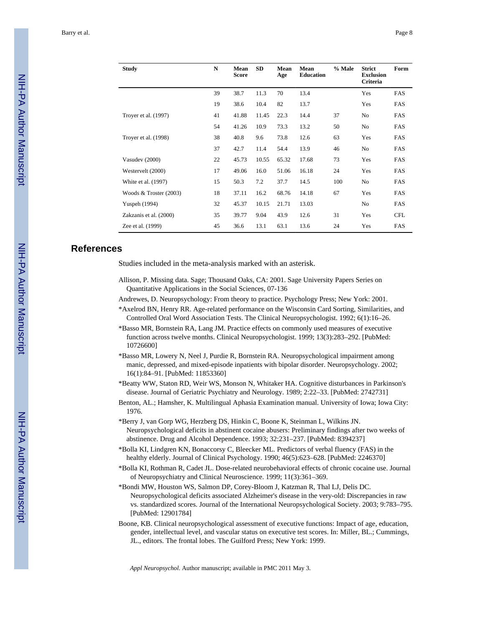| <b>Study</b>             | N  | Mean<br><b>Score</b> | <b>SD</b> | Mean<br>Age | Mean<br><b>Education</b> | % Male | <b>Strict</b><br><b>Exclusion</b><br>Criteria | Form       |
|--------------------------|----|----------------------|-----------|-------------|--------------------------|--------|-----------------------------------------------|------------|
|                          | 39 | 38.7                 | 11.3      | 70          | 13.4                     |        | Yes                                           | FAS        |
|                          | 19 | 38.6                 | 10.4      | 82          | 13.7                     |        | Yes                                           | FAS        |
| Troyer et al. (1997)     | 41 | 41.88                | 11.45     | 22.3        | 14.4                     | 37     | No                                            | FAS        |
|                          | 54 | 41.26                | 10.9      | 73.3        | 13.2                     | 50     | No                                            | FAS        |
| Troyer et al. (1998)     | 38 | 40.8                 | 9.6       | 73.8        | 12.6                     | 63     | Yes                                           | FAS        |
|                          | 37 | 42.7                 | 11.4      | 54.4        | 13.9                     | 46     | No                                            | FAS        |
| Vasudev (2000)           | 22 | 45.73                | 10.55     | 65.32       | 17.68                    | 73     | Yes                                           | FAS        |
| Westervelt (2000)        | 17 | 49.06                | 16.0      | 51.06       | 16.18                    | 24     | Yes                                           | FAS        |
| White et al. (1997)      | 15 | 50.3                 | 7.2       | 37.7        | 14.5                     | 100    | No                                            | FAS        |
| Woods $&$ Troster (2003) | 18 | 37.11                | 16.2      | 68.76       | 14.18                    | 67     | Yes                                           | FAS        |
| Yuspeh (1994)            | 32 | 45.37                | 10.15     | 21.71       | 13.03                    |        | No                                            | FAS        |
| Zakzanis et al. (2000)   | 35 | 39.77                | 9.04      | 43.9        | 12.6                     | 31     | Yes                                           | <b>CFL</b> |
| Zee et al. (1999)        | 45 | 36.6                 | 13.1      | 63.1        | 13.6                     | 24     | Yes                                           | FAS        |

#### **References**

Studies included in the meta-analysis marked with an asterisk.

- Allison, P. Missing data. Sage; Thousand Oaks, CA: 2001. Sage University Papers Series on Quantitative Applications in the Social Sciences, 07-136
- Andrewes, D. Neuropsychology: From theory to practice. Psychology Press; New York: 2001.
- \*Axelrod BN, Henry RR. Age-related performance on the Wisconsin Card Sorting, Similarities, and Controlled Oral Word Association Tests. The Clinical Neuropsychologist. 1992; 6(1):16–26.
- \*Basso MR, Bornstein RA, Lang JM. Practice effects on commonly used measures of executive function across twelve months. Clinical Neuropsychologist. 1999; 13(3):283–292. [PubMed: 10726600]
- \*Basso MR, Lowery N, Neel J, Purdie R, Bornstein RA. Neuropsychological impairment among manic, depressed, and mixed-episode inpatients with bipolar disorder. Neuropsychology. 2002; 16(1):84–91. [PubMed: 11853360]
- \*Beatty WW, Staton RD, Weir WS, Monson N, Whitaker HA. Cognitive disturbances in Parkinson's disease. Journal of Geriatric Psychiatry and Neurology. 1989; 2:22–33. [PubMed: 2742731]
- Benton, AL.; Hamsher, K. Multilingual Aphasia Examination manual. University of Iowa; Iowa City: 1976.
- \*Berry J, van Gorp WG, Herzberg DS, Hinkin C, Boone K, Steinman L, Wilkins JN. Neuropsychological deficits in abstinent cocaine abusers: Preliminary findings after two weeks of abstinence. Drug and Alcohol Dependence. 1993; 32:231–237. [PubMed: 8394237]
- \*Bolla KI, Lindgren KN, Bonaccorsy C, Bleecker ML. Predictors of verbal fluency (FAS) in the healthy elderly. Journal of Clinical Psychology. 1990; 46(5):623–628. [PubMed: 2246370]
- \*Bolla KI, Rothman R, Cadet JL. Dose-related neurobehavioral effects of chronic cocaine use. Journal of Neuropsychiatry and Clinical Neuroscience. 1999; 11(3):361–369.
- \*Bondi MW, Houston WS, Salmon DP, Corey-Bloom J, Katzman R, Thal LJ, Delis DC. Neuropsychological deficits associated Alzheimer's disease in the very-old: Discrepancies in raw vs. standardized scores. Journal of the International Neuropsychological Society. 2003; 9:783–795. [PubMed: 12901784]
- Boone, KB. Clinical neuropsychological assessment of executive functions: Impact of age, education, gender, intellectual level, and vascular status on executive test scores. In: Miller, BL.; Cummings, JL., editors. The frontal lobes. The Guilford Press; New York: 1999.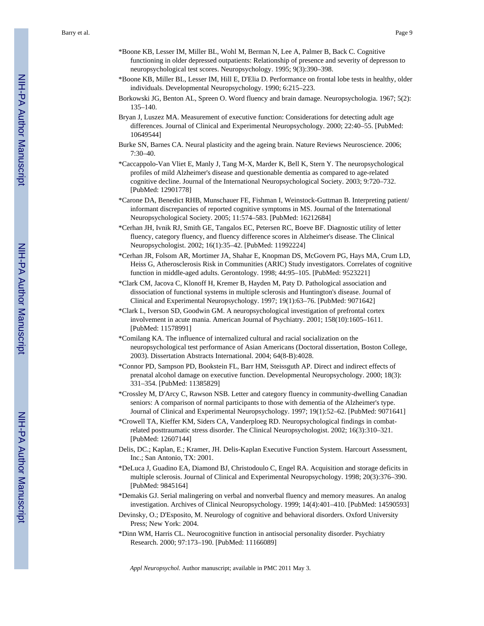- \*Boone KB, Lesser IM, Miller BL, Wohl M, Berman N, Lee A, Palmer B, Back C. Cognitive functioning in older depressed outpatients: Relationship of presence and severity of depresson to neuropsychological test scores. Neuropsychology. 1995; 9(3):390–398.
- \*Boone KB, Miller BL, Lesser IM, Hill E, D'Elia D. Performance on frontal lobe tests in healthy, older individuals. Developmental Neuropsychology. 1990; 6:215–223.
- Borkowski JG, Benton AL, Spreen O. Word fluency and brain damage. Neuropsychologia. 1967; 5(2): 135–140.
- Bryan J, Luszez MA. Measurement of executive function: Considerations for detecting adult age differences. Journal of Clinical and Experimental Neuropsychology. 2000; 22:40–55. [PubMed: 10649544]
- Burke SN, Barnes CA. Neural plasticity and the ageing brain. Nature Reviews Neuroscience. 2006; 7:30–40.
- \*Caccappolo-Van Vliet E, Manly J, Tang M-X, Marder K, Bell K, Stern Y. The neuropsychological profiles of mild Alzheimer's disease and questionable dementia as compared to age-related cognitive decline. Journal of the International Neuropsychological Society. 2003; 9:720–732. [PubMed: 12901778]
- \*Carone DA, Benedict RHB, Munschauer FE, Fishman I, Weinstock-Guttman B. Interpreting patient/ informant discrepancies of reported cognitive symptoms in MS. Journal of the International Neuropsychological Society. 2005; 11:574–583. [PubMed: 16212684]
- \*Cerhan JH, Ivnik RJ, Smith GE, Tangalos EC, Petersen RC, Boeve BF. Diagnostic utility of letter fluency, category fluency, and fluency difference scores in Alzheimer's disease. The Clinical Neuropsychologist. 2002; 16(1):35–42. [PubMed: 11992224]
- \*Cerhan JR, Folsom AR, Mortimer JA, Shahar E, Knopman DS, McGovern PG, Hays MA, Crum LD, Heiss G, Atherosclerosis Risk in Communities (ARIC) Study investigators. Correlates of cognitive function in middle-aged adults. Gerontology. 1998; 44:95–105. [PubMed: 9523221]
- \*Clark CM, Jacova C, Klonoff H, Kremer B, Hayden M, Paty D. Pathological association and dissociation of functional systems in multiple sclerosis and Huntington's disease. Journal of Clinical and Experimental Neuropsychology. 1997; 19(1):63–76. [PubMed: 9071642]
- \*Clark L, Iverson SD, Goodwin GM. A neuropsychological investigation of prefrontal cortex involvement in acute mania. American Journal of Psychiatry. 2001; 158(10):1605–1611. [PubMed: 11578991]
- \*Comilang KA. The influence of internalized cultural and racial socialization on the neuropsychological test performance of Asian Americans (Doctoral dissertation, Boston College, 2003). Dissertation Abstracts International. 2004; 64(8-B):4028.
- \*Connor PD, Sampson PD, Bookstein FL, Barr HM, Steissguth AP. Direct and indirect effects of prenatal alcohol damage on executive function. Developmental Neuropsychology. 2000; 18(3): 331–354. [PubMed: 11385829]
- \*Crossley M, D'Arcy C, Rawson NSB. Letter and category fluency in community-dwelling Canadian seniors: A comparison of normal participants to those with dementia of the Alzheimer's type. Journal of Clinical and Experimental Neuropsychology. 1997; 19(1):52–62. [PubMed: 9071641]
- \*Crowell TA, Kieffer KM, Siders CA, Vanderploeg RD. Neuropsychological findings in combatrelated posttraumatic stress disorder. The Clinical Neuropsychologist. 2002; 16(3):310–321. [PubMed: 12607144]
- Delis, DC.; Kaplan, E.; Kramer, JH. Delis-Kaplan Executive Function System. Harcourt Assessment, Inc.; San Antonio, TX: 2001.
- \*DeLuca J, Guadino EA, Diamond BJ, Christodoulo C, Engel RA. Acquisition and storage deficits in multiple sclerosis. Journal of Clinical and Experimental Neuropsychology. 1998; 20(3):376–390. [PubMed: 9845164]
- \*Demakis GJ. Serial malingering on verbal and nonverbal fluency and memory measures. An analog investigation. Archives of Clinical Neuropsychology. 1999; 14(4):401–410. [PubMed: 14590593]
- Devinsky, O.; D'Esposito, M. Neurology of cognitive and behavioral disorders. Oxford University Press; New York: 2004.
- \*Dinn WM, Harris CL. Neurocognitive function in antisocial personality disorder. Psychiatry Research. 2000; 97:173–190. [PubMed: 11166089]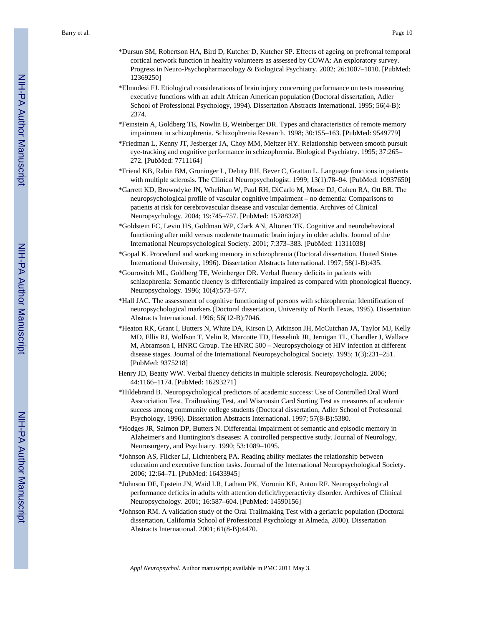- \*Dursun SM, Robertson HA, Bird D, Kutcher D, Kutcher SP. Effects of ageing on prefrontal temporal cortical network function in healthy volunteers as assessed by COWA: An exploratory survey. Progress in Neuro-Psychopharmacology & Biological Psychiatry. 2002; 26:1007–1010. [PubMed: 12369250]
- \*Elmudesi FJ. Etiological considerations of brain injury concerning performance on tests measuring executive functions with an adult African American population (Doctoral dissertation, Adler School of Professional Psychology, 1994). Dissertation Abstracts International. 1995; 56(4-B): 2374.
- \*Feinstein A, Goldberg TE, Nowlin B, Weinberger DR. Types and characteristics of remote memory impairment in schizophrenia. Schizophrenia Research. 1998; 30:155–163. [PubMed: 9549779]
- \*Friedman L, Kenny JT, Jesberger JA, Choy MM, Meltzer HY. Relationship between smooth pursuit eye-tracking and cognitive performance in schizophrenia. Biological Psychiatry. 1995; 37:265– 272. [PubMed: 7711164]
- \*Friend KB, Rabin BM, Groninger L, Deluty RH, Bever C, Grattan L. Language functions in patients with multiple sclerosis. The Clinical Neuropsychologist. 1999; 13(1):78–94. [PubMed: 10937650]
- \*Garrett KD, Browndyke JN, Whelihan W, Paul RH, DiCarlo M, Moser DJ, Cohen RA, Ott BR. The neuropsychological profile of vascular cognitive impairment – no dementia: Comparisons to patients at risk for cerebrovascular disease and vascular dementia. Archives of Clinical Neuropsychology. 2004; 19:745–757. [PubMed: 15288328]
- \*Goldstein FC, Levin HS, Goldman WP, Clark AN, Altonen TK. Cognitive and neurobehavioral functioning after mild versus moderate traumatic brain injury in older adults. Journal of the International Neuropsychological Society. 2001; 7:373–383. [PubMed: 11311038]
- \*Gopal K. Procedural and working memory in schizophrenia (Doctoral dissertation, United States International University, 1996). Dissertation Abstracts International. 1997; 58(1-B):435.
- \*Gourovitch ML, Goldberg TE, Weinberger DR. Verbal fluency deficits in patients with schizophrenia: Semantic fluency is differentially impaired as compared with phonological fluency. Neuropsychology. 1996; 10(4):573–577.
- \*Hall JAC. The assessment of cognitive functioning of persons with schizophrenia: Identification of neuropsychological markers (Doctoral dissertation, University of North Texas, 1995). Dissertation Abstracts International. 1996; 56(12-B):7046.
- \*Heaton RK, Grant I, Butters N, White DA, Kirson D, Atkinson JH, McCutchan JA, Taylor MJ, Kelly MD, Ellis RJ, Wolfson T, Velin R, Marcotte TD, Hesselink JR, Jernigan TL, Chandler J, Wallace M, Abramson I, HNRC Group. The HNRC 500 – Neuropsychology of HIV infection at different disease stages. Journal of the International Neuropsychological Society. 1995; 1(3):231–251. [PubMed: 9375218]
- Henry JD, Beatty WW. Verbal fluency deficits in multiple sclerosis. Neuropsychologia. 2006; 44:1166–1174. [PubMed: 16293271]
- \*Hildebrand B. Neuropsychological predictors of academic success: Use of Controlled Oral Word Asscociation Test, Trailmaking Test, and Wisconsin Card Sorting Test as measures of academic success among community college students (Doctoral dissertation, Adler School of Professonal Psychology, 1996). Dissertation Abstracts International. 1997; 57(8-B):5380.
- \*Hodges JR, Salmon DP, Butters N. Differential impairment of semantic and episodic memory in Alzheimer's and Huntington's diseases: A controlled perspective study. Journal of Neurology, Neurosurgery, and Psychiatry. 1990; 53:1089–1095.
- \*Johnson AS, Flicker LJ, Lichtenberg PA. Reading ability mediates the relationship between education and executive function tasks. Journal of the International Neuropsychological Society. 2006; 12:64–71. [PubMed: 16433945]
- \*Johnson DE, Epstein JN, Waid LR, Latham PK, Voronin KE, Anton RF. Neuropsychological performance deficits in adults with attention deficit/hyperactivity disorder. Archives of Clinical Neuropsychology. 2001; 16:587–604. [PubMed: 14590156]
- \*Johnson RM. A validation study of the Oral Trailmaking Test with a geriatric population (Doctoral dissertation, California School of Professional Psychology at Almeda, 2000). Dissertation Abstracts International. 2001; 61(8-B):4470.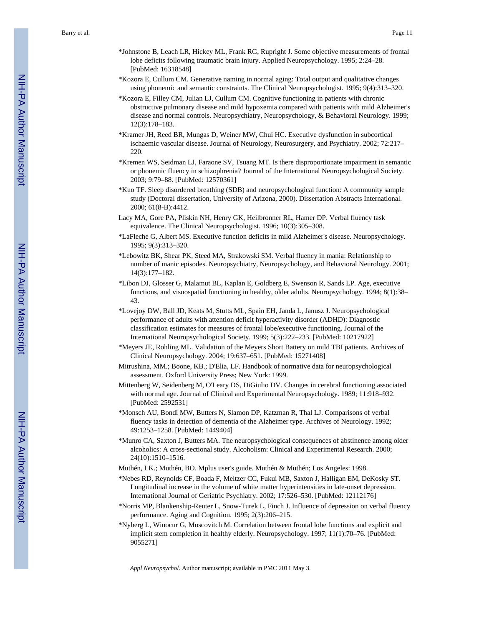- \*Johnstone B, Leach LR, Hickey ML, Frank RG, Rupright J. Some objective measurements of frontal lobe deficits following traumatic brain injury. Applied Neuropsychology. 1995; 2:24–28. [PubMed: 16318548]
- \*Kozora E, Cullum CM. Generative naming in normal aging: Total output and qualitative changes using phonemic and semantic constraints. The Clinical Neuropsychologist. 1995; 9(4):313–320.
- \*Kozora E, Filley CM, Julian LJ, Cullum CM. Cognitive functioning in patients with chronic obstructive pulmonary disease and mild hypoxemia compared with patients with mild Alzheimer's disease and normal controls. Neuropsychiatry, Neuropsychology, & Behavioral Neurology. 1999; 12(3):178–183.
- \*Kramer JH, Reed BR, Mungas D, Weiner MW, Chui HC. Executive dysfunction in subcortical ischaemic vascular disease. Journal of Neurology, Neurosurgery, and Psychiatry. 2002; 72:217– 220.
- \*Kremen WS, Seidman LJ, Faraone SV, Tsuang MT. Is there disproportionate impairment in semantic or phonemic fluency in schizophrenia? Journal of the International Neuropsychological Society. 2003; 9:79–88. [PubMed: 12570361]
- \*Kuo TF. Sleep disordered breathing (SDB) and neuropsychological function: A community sample study (Doctoral dissertation, University of Arizona, 2000). Dissertation Abstracts International. 2000; 61(8-B):4412.
- Lacy MA, Gore PA, Pliskin NH, Henry GK, Heilbronner RL, Hamer DP. Verbal fluency task equivalence. The Clinical Neuropsychologist. 1996; 10(3):305–308.
- \*LaFleche G, Albert MS. Executive function deficits in mild Alzheimer's disease. Neuropsychology. 1995; 9(3):313–320.
- \*Lebowitz BK, Shear PK, Steed MA, Strakowski SM. Verbal fluency in mania: Relationship to number of manic episodes. Neuropsychiatry, Neuropsychology, and Behavioral Neurology. 2001; 14(3):177–182.
- \*Libon DJ, Glosser G, Malamut BL, Kaplan E, Goldberg E, Swenson R, Sands LP. Age, executive functions, and visuospatial functioning in healthy, older adults. Neuropsychology. 1994; 8(1):38– 43.
- \*Lovejoy DW, Ball JD, Keats M, Stutts ML, Spain EH, Janda L, Janusz J. Neuropsychological performance of adults with attention deficit hyperactivity disorder (ADHD): Diagnostic classification estimates for measures of frontal lobe/executive functioning. Journal of the International Neuropsychological Society. 1999; 5(3):222–233. [PubMed: 10217922]
- \*Meyers JE, Rohling ML. Validation of the Meyers Short Battery on mild TBI patients. Archives of Clinical Neuropsychology. 2004; 19:637–651. [PubMed: 15271408]
- Mitrushina, MM.; Boone, KB.; D'Elia, LF. Handbook of normative data for neuropsychological assessment. Oxford University Press; New York: 1999.
- Mittenberg W, Seidenberg M, O'Leary DS, DiGiulio DV. Changes in cerebral functioning associated with normal age. Journal of Clinical and Experimental Neuropsychology. 1989; 11:918–932. [PubMed: 2592531]
- \*Monsch AU, Bondi MW, Butters N, Slamon DP, Katzman R, Thal LJ. Comparisons of verbal fluency tasks in detection of dementia of the Alzheimer type. Archives of Neurology. 1992; 49:1253–1258. [PubMed: 1449404]
- \*Munro CA, Saxton J, Butters MA. The neuropsychological consequences of abstinence among older alcoholics: A cross-sectional study. Alcoholism: Clinical and Experimental Research. 2000; 24(10):1510–1516.

Muthén, LK.; Muthén, BO. Mplus user's guide. Muthén & Muthén; Los Angeles: 1998.

- \*Nebes RD, Reynolds CF, Boada F, Meltzer CC, Fukui MB, Saxton J, Halligan EM, DeKosky ST. Longitudinal increase in the volume of white matter hyperintensities in late-onset depression. International Journal of Geriatric Psychiatry. 2002; 17:526–530. [PubMed: 12112176]
- \*Norris MP, Blankenship-Reuter L, Snow-Turek L, Finch J. Influence of depression on verbal fluency performance. Aging and Cognition. 1995; 2(3):206–215.
- \*Nyberg L, Winocur G, Moscovitch M. Correlation between frontal lobe functions and explicit and implicit stem completion in healthy elderly. Neuropsychology. 1997; 11(1):70–76. [PubMed: 9055271]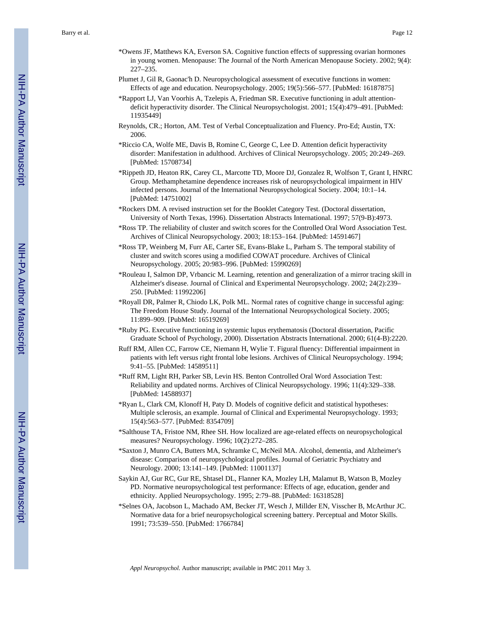- \*Owens JF, Matthews KA, Everson SA. Cognitive function effects of suppressing ovarian hormones in young women. Menopause: The Journal of the North American Menopause Society. 2002; 9(4): 227–235.
- Plumet J, Gil R, Gaonac'h D. Neuropsychological assessment of executive functions in women: Effects of age and education. Neuropsychology. 2005; 19(5):566–577. [PubMed: 16187875]
- \*Rapport LJ, Van Voorhis A, Tzelepis A, Friedman SR. Executive functioning in adult attentiondeficit hyperactivity disorder. The Clinical Neuropsychologist. 2001; 15(4):479–491. [PubMed: 11935449]
- Reynolds, CR.; Horton, AM. Test of Verbal Conceptualization and Fluency. Pro-Ed; Austin, TX: 2006.
- \*Riccio CA, Wolfe ME, Davis B, Romine C, George C, Lee D. Attention deficit hyperactivity disorder: Manifestation in adulthood. Archives of Clinical Neuropsychology. 2005; 20:249–269. [PubMed: 15708734]
- \*Rippeth JD, Heaton RK, Carey CL, Marcotte TD, Moore DJ, Gonzalez R, Wolfson T, Grant I, HNRC Group. Methamphetamine dependence increases risk of neuropsychological impairment in HIV infected persons. Journal of the International Neuropsychological Society. 2004; 10:1–14. [PubMed: 14751002]
- \*Rockers DM. A revised instruction set for the Booklet Category Test. (Doctoral dissertation, University of North Texas, 1996). Dissertation Abstracts International. 1997; 57(9-B):4973.
- \*Ross TP. The reliability of cluster and switch scores for the Controlled Oral Word Association Test. Archives of Clinical Neuropsychology. 2003; 18:153–164. [PubMed: 14591467]
- \*Ross TP, Weinberg M, Furr AE, Carter SE, Evans-Blake L, Parham S. The temporal stability of cluster and switch scores using a modified COWAT procedure. Archives of Clinical Neuropsychology. 2005; 20:983–996. [PubMed: 15990269]
- \*Rouleau I, Salmon DP, Vrbancic M. Learning, retention and generalization of a mirror tracing skill in Alzheimer's disease. Journal of Clinical and Experimental Neuropsychology. 2002; 24(2):239– 250. [PubMed: 11992206]
- \*Royall DR, Palmer R, Chiodo LK, Polk ML. Normal rates of cognitive change in successful aging: The Freedom House Study. Journal of the International Neuropsychological Society. 2005; 11:899–909. [PubMed: 16519269]
- \*Ruby PG. Executive functioning in systemic lupus erythematosis (Doctoral dissertation, Pacific Graduate School of Psychology, 2000). Dissertation Abstracts International. 2000; 61(4-B):2220.
- Ruff RM, Allen CC, Farrow CE, Niemann H, Wylie T. Figural fluency: Differential impairment in patients with left versus right frontal lobe lesions. Archives of Clinical Neuropsychology. 1994; 9:41–55. [PubMed: 14589511]
- \*Ruff RM, Light RH, Parker SB, Levin HS. Benton Controlled Oral Word Association Test: Reliability and updated norms. Archives of Clinical Neuropsychology. 1996; 11(4):329–338. [PubMed: 14588937]
- \*Ryan L, Clark CM, Klonoff H, Paty D. Models of cognitive deficit and statistical hypotheses: Multiple sclerosis, an example. Journal of Clinical and Experimental Neuropsychology. 1993; 15(4):563–577. [PubMed: 8354709]
- \*Salthouse TA, Fristoe NM, Rhee SH. How localized are age-related effects on neuropsychological measures? Neuropsychology. 1996; 10(2):272–285.
- \*Saxton J, Munro CA, Butters MA, Schramke C, McNeil MA. Alcohol, dementia, and Alzheimer's disease: Comparison of neuropsychological profiles. Journal of Geriatric Psychiatry and Neurology. 2000; 13:141–149. [PubMed: 11001137]
- Saykin AJ, Gur RC, Gur RE, Shtasel DL, Flanner KA, Mozley LH, Malamut B, Watson B, Mozley PD. Normative neuropsychological test performance: Effects of age, education, gender and ethnicity. Applied Neuropsychology. 1995; 2:79–88. [PubMed: 16318528]
- \*Selnes OA, Jacobson L, Machado AM, Becker JT, Wesch J, Millder EN, Visscher B, McArthur JC. Normative data for a brief neuropsychological screening battery. Perceptual and Motor Skills. 1991; 73:539–550. [PubMed: 1766784]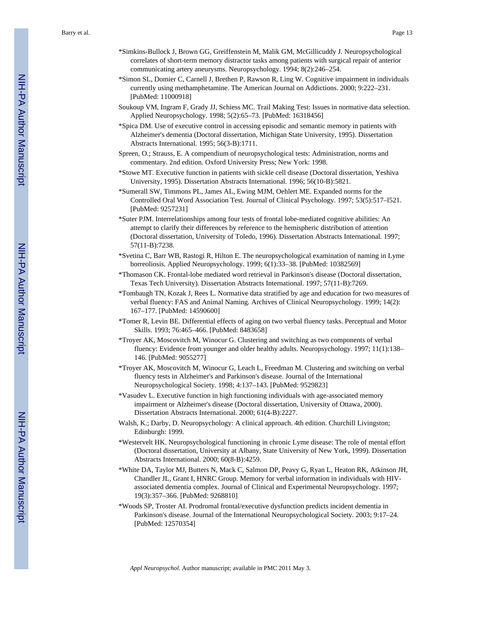- \*Simkins-Bullock J, Brown GG, Greiffenstein M, Malik GM, McGillicuddy J. Neuropsychological correlates of short-term memory distractor tasks among patients with surgical repair of anterior communicating artery aneurysms. Neuropsychology. 1994; 8(2):246–254.
- \*Simon SL, Domier C, Carnell J, Brethen P, Rawson R, Ling W. Cognitive impairment in individuals currently using methamphetamine. The American Journal on Addictions. 2000; 9:222–231. [PubMed: 11000918]
- Soukoup VM, Ingram F, Grady JJ, Schiess MC. Trail Making Test: Issues in normative data selection. Applied Neuropsychology. 1998; 5(2):65–73. [PubMed: 16318456]
- \*Spica DM. Use of executive control in accessing episodic and semantic memory in patients with Alzheimer's dementia (Doctoral dissertation, Michigan State University, 1995). Dissertation Abstracts International. 1995; 56(3-B):1711.
- Spreen, O.; Strauss, E. A compendium of neuropsychological tests: Administration, norms and commentary. 2nd edition. Oxford University Press; New York: 1998.
- \*Stowe MT. Executive function in patients with sickle cell disease (Doctoral dissertation, Yeshiva University, 1995). Dissertation Abstracts International. 1996; 56(10-B):5821.
- \*Sumerall SW, Timmons PL, James AL, Ewing MJM, Oehlert ME. Expanded norms for the Controlled Oral Word Association Test. Journal of Clinical Psychology. 1997; 53(5):517–l521. [PubMed: 9257231]
- \*Suter PJM. Interrelationships among four tests of frontal lobe-mediated cognitive abilities: An attempt to clarify their differences by reference to the hemispheric distribution of attention (Doctoral dissertation, University of Toledo, 1996). Dissertation Abstracts International. 1997; 57(11-B):7238.
- \*Svetina C, Barr WB, Rastogi R, Hilton E. The neuropsychological examination of naming in Lyme borreoliosis. Applied Neuropsychology. 1999; 6(1):33–38. [PubMed: 10382569]
- \*Thomason CK. Frontal-lobe mediated word retrieval in Parkinson's disease (Doctoral dissertation, Texas Tech University). Dissertation Abstracts International. 1997; 57(11-B):7269.
- \*Tombaugh TN, Kozak J, Rees L. Normative data stratified by age and education for two measures of verbal fluency: FAS and Animal Naming. Archives of Clinical Neuropsychology. 1999; 14(2): 167–177. [PubMed: 14590600]
- \*Tomer R, Levin BE. Differential effects of aging on two verbal fluency tasks. Perceptual and Motor Skills. 1993; 76:465–466. [PubMed: 8483658]
- \*Troyer AK, Moscovitch M, Winocur G. Clustering and switching as two components of verbal fluency: Evidence from younger and older healthy adults. Neuropsychology. 1997; 11(1):138– 146. [PubMed: 9055277]
- \*Troyer AK, Moscovitch M, Winocur G, Leach L, Freedman M. Clustering and switching on verbal fluency tests in Alzheimer's and Parkinson's disease. Journal of the International Neuropsychological Society. 1998; 4:137–143. [PubMed: 9529823]
- \*Vasudev L. Executive function in high functioning individuals with age-associated memory impairment or Alzheimer's disease (Doctoral dissertation, University of Ottawa, 2000). Dissertation Abstracts International. 2000; 61(4-B):2227.
- Walsh, K.; Darby, D. Neuropsychology: A clinical approach. 4th edition. Churchill Livingston; Edinburgh: 1999.
- \*Westervelt HK. Neuropsychological functioning in chronic Lyme disease: The role of mental effort (Doctoral dissertation, University at Albany, State University of New York, 1999). Dissertation Abstracts International. 2000; 60(8-B):4259.
- \*White DA, Taylor MJ, Butters N, Mack C, Salmon DP, Peavy G, Ryan L, Heaton RK, Atkinson JH, Chandler JL, Grant I, HNRC Group. Memory for verbal information in individuals with HIVassociated dementia complex. Journal of Clinical and Experimental Neuropsychology. 1997; 19(3):357–366. [PubMed: 9268810]
- \*Woods SP, Troster AI. Prodromal frontal/executive dysfunction predicts incident dementia in Parkinson's disease. Journal of the International Neuropsychological Society. 2003; 9:17–24. [PubMed: 12570354]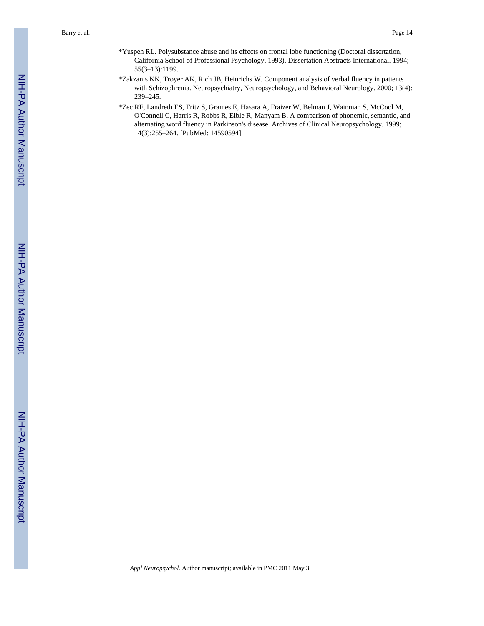- \*Yuspeh RL. Polysubstance abuse and its effects on frontal lobe functioning (Doctoral dissertation, California School of Professional Psychology, 1993). Dissertation Abstracts International. 1994; 55(3–13):1199.
- \*Zakzanis KK, Troyer AK, Rich JB, Heinrichs W. Component analysis of verbal fluency in patients with Schizophrenia. Neuropsychiatry, Neuropsychology, and Behavioral Neurology. 2000; 13(4): 239–245.
- \*Zec RF, Landreth ES, Fritz S, Grames E, Hasara A, Fraizer W, Belman J, Wainman S, McCool M, O'Connell C, Harris R, Robbs R, Elble R, Manyam B. A comparison of phonemic, semantic, and alternating word fluency in Parkinson's disease. Archives of Clinical Neuropsychology. 1999; 14(3):255–264. [PubMed: 14590594]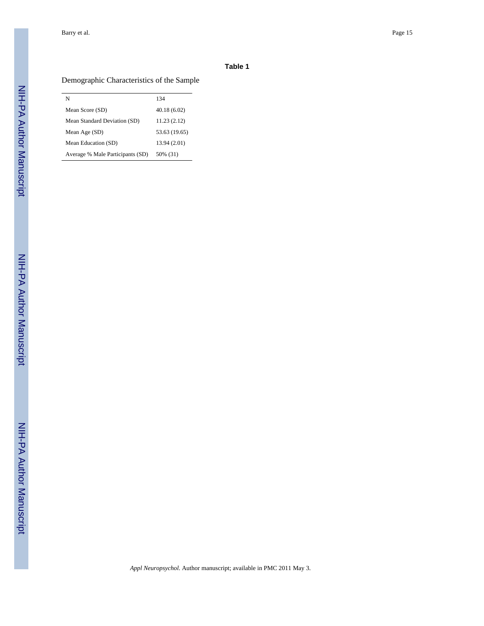#### **Table 1**

#### Demographic Characteristics of the Sample

| N                                | 134           |
|----------------------------------|---------------|
| Mean Score (SD)                  | 40.18 (6.02)  |
| Mean Standard Deviation (SD)     | 11.23 (2.12)  |
| Mean Age (SD)                    | 53.63 (19.65) |
| Mean Education (SD)              | 13.94 (2.01)  |
| Average % Male Participants (SD) | 50% (31)      |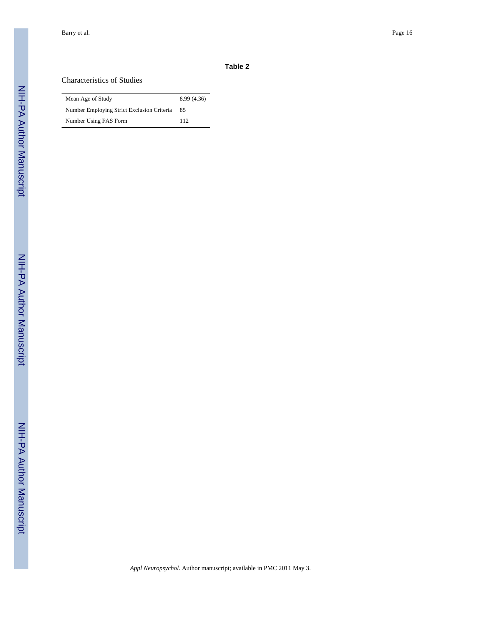#### **Table 2**

#### Characteristics of Studies

| Mean Age of Study                          | 8.99 (4.36) |
|--------------------------------------------|-------------|
| Number Employing Strict Exclusion Criteria | 85          |
| Number Using FAS Form                      | 112         |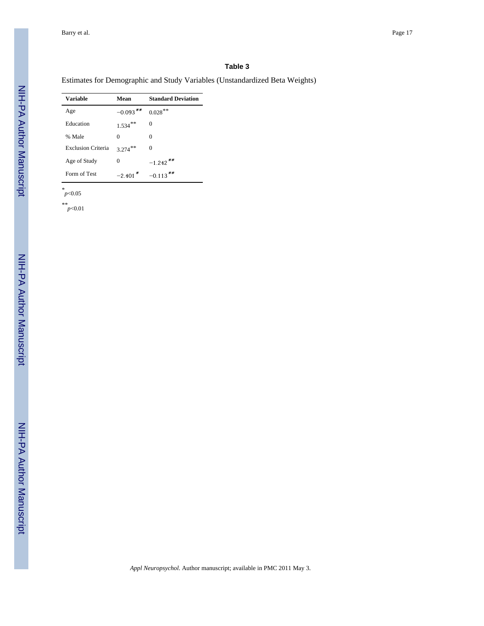#### **Table 3**

Estimates for Demographic and Study Variables (Unstandardized Beta Weights)

| Variable                  | Mean        | <b>Standard Deviation</b> |
|---------------------------|-------------|---------------------------|
| Age                       | $-0.093$ ** | $0.028***$                |
| Education                 | $1.534***$  | $\Omega$                  |
| % Male                    | 0           | $\Omega$                  |
| <b>Exclusion Criteria</b> | $3274**$    | $\Omega$                  |
| Age of Study              | 0           | $-1.242$ <sup>**</sup>    |
| Form of Test              | $-2.401$    | $-0.113$                  |

*\* p*<0.05

*\*\* p*<0.01